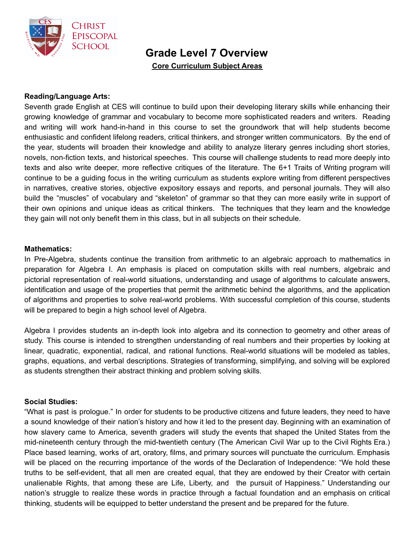

**Grade Level 7 Overview**

**Core Curriculum Subject Areas**

## **Reading/Language Arts:**

Seventh grade English at CES will continue to build upon their developing literary skills while enhancing their growing knowledge of grammar and vocabulary to become more sophisticated readers and writers. Reading and writing will work hand-in-hand in this course to set the groundwork that will help students become enthusiastic and confident lifelong readers, critical thinkers, and stronger written communicators. By the end of the year, students will broaden their knowledge and ability to analyze literary genres including short stories, novels, non-fiction texts, and historical speeches. This course will challenge students to read more deeply into texts and also write deeper, more reflective critiques of the literature. The 6+1 Traits of Writing program will continue to be a guiding focus in the writing curriculum as students explore writing from different perspectives in narratives, creative stories, objective expository essays and reports, and personal journals. They will also build the "muscles" of vocabulary and "skeleton" of grammar so that they can more easily write in support of their own opinions and unique ideas as critical thinkers. The techniques that they learn and the knowledge they gain will not only benefit them in this class, but in all subjects on their schedule.

### **Mathematics:**

In Pre-Algebra, students continue the transition from arithmetic to an algebraic approach to mathematics in preparation for Algebra I. An emphasis is placed on computation skills with real numbers, algebraic and pictorial representation of real-world situations, understanding and usage of algorithms to calculate answers, identification and usage of the properties that permit the arithmetic behind the algorithms, and the application of algorithms and properties to solve real-world problems. With successful completion of this course, students will be prepared to begin a high school level of Algebra.

Algebra I provides students an in-depth look into algebra and its connection to geometry and other areas of study. This course is intended to strengthen understanding of real numbers and their properties by looking at linear, quadratic, exponential, radical, and rational functions. Real-world situations will be modeled as tables, graphs, equations, and verbal descriptions. Strategies of transforming, simplifying, and solving will be explored as students strengthen their abstract thinking and problem solving skills.

### **Social Studies:**

"What is past is prologue." In order for students to be productive citizens and future leaders, they need to have a sound knowledge of their nation's history and how it led to the present day. Beginning with an examination of how slavery came to America, seventh graders will study the events that shaped the United States from the mid-nineteenth century through the mid-twentieth century (The American Civil War up to the Civil Rights Era.) Place based learning, works of art, oratory, films, and primary sources will punctuate the curriculum. Emphasis will be placed on the recurring importance of the words of the Declaration of Independence: "We hold these truths to be self-evident, that all men are created equal, that they are endowed by their Creator with certain unalienable Rights, that among these are Life, Liberty, and the pursuit of Happiness." Understanding our nation's struggle to realize these words in practice through a factual foundation and an emphasis on critical thinking, students will be equipped to better understand the present and be prepared for the future.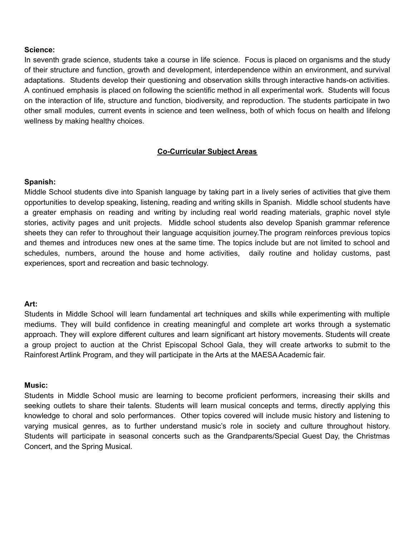### **Science:**

In seventh grade science, students take a course in life science. Focus is placed on organisms and the study of their structure and function, growth and development, interdependence within an environment, and survival adaptations. Students develop their questioning and observation skills through interactive hands-on activities. A continued emphasis is placed on following the scientific method in all experimental work. Students will focus on the interaction of life, structure and function, biodiversity, and reproduction. The students participate in two other small modules, current events in science and teen wellness, both of which focus on health and lifelong wellness by making healthy choices.

## **Co-Curricular Subject Areas**

## **Spanish:**

Middle School students dive into Spanish language by taking part in a lively series of activities that give them opportunities to develop speaking, listening, reading and writing skills in Spanish. Middle school students have a greater emphasis on reading and writing by including real world reading materials, graphic novel style stories, activity pages and unit projects. Middle school students also develop Spanish grammar reference sheets they can refer to throughout their language acquisition journey.The program reinforces previous topics and themes and introduces new ones at the same time. The topics include but are not limited to school and schedules, numbers, around the house and home activities, daily routine and holiday customs, past experiences, sport and recreation and basic technology.

### **Art:**

Students in Middle School will learn fundamental art techniques and skills while experimenting with multiple mediums. They will build confidence in creating meaningful and complete art works through a systematic approach. They will explore different cultures and learn significant art history movements. Students will create a group project to auction at the Christ Episcopal School Gala, they will create artworks to submit to the Rainforest Artlink Program, and they will participate in the Arts at the MAESA Academic fair.

### **Music:**

Students in Middle School music are learning to become proficient performers, increasing their skills and seeking outlets to share their talents. Students will learn musical concepts and terms, directly applying this knowledge to choral and solo performances. Other topics covered will include music history and listening to varying musical genres, as to further understand music's role in society and culture throughout history. Students will participate in seasonal concerts such as the Grandparents/Special Guest Day, the Christmas Concert, and the Spring Musical.